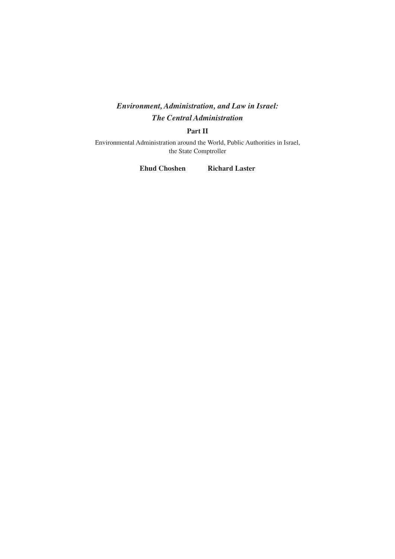### *Environment, Administration, and Law in Israel: The Central Administration*

#### **Part II**

Environmental Administration around the World, Public Authorities in Israel, the State Comptroller

**Ehud Choshen Richard Laster**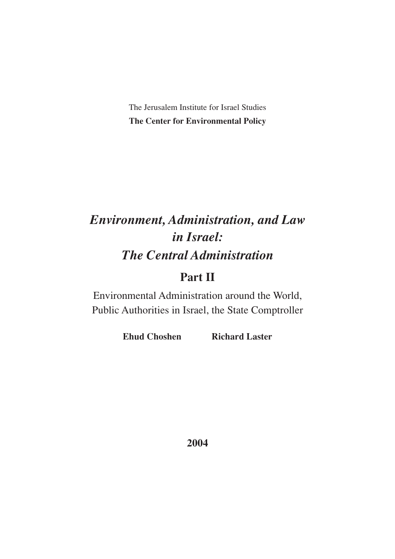The Jerusalem Institute for Israel Studies **The Center for Environmental Policy**

# *Environment, Administration, and Law in Israel: The Central Administration*

## **Part II**

Environmental Administration around the World, Public Authorities in Israel, the State Comptroller

**Ehud Choshen Richard Laster**

**2004**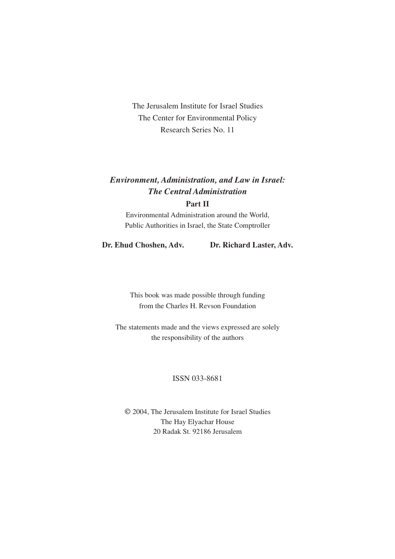The Jerusalem Institute for Israel Studies The Center for Environmental Policy Research Series No. 11

## *Environment, Administration, and Law in Israel: The Central Administration*

#### **Part II**

Environmental Administration around the World, Public Authorities in Israel, the State Comptroller

**Dr. Ehud Choshen, Adv. Dr. Richard Laster, Adv.**

This book was made possible through funding from the Charles H. Revson Foundation

The statements made and the views expressed are solely the responsibility of the authors

#### ISSN 033-8681

© 2004, The Jerusalem Institute for Israel Studies The Hay Elyachar House 20 Radak St. 92186 Jerusalem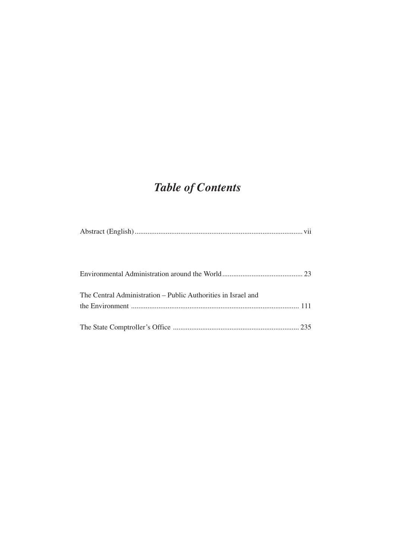## *Table of Contents*

| The Central Administration – Public Authorities in Israel and |
|---------------------------------------------------------------|
|                                                               |
|                                                               |
|                                                               |
|                                                               |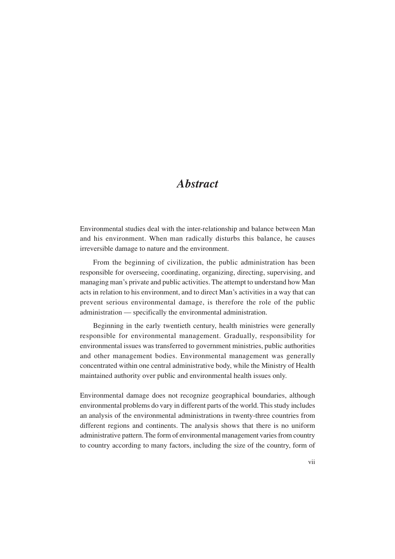## *Abstract*

Environmental studies deal with the inter-relationship and balance between Man and his environment. When man radically disturbs this balance, he causes irreversible damage to nature and the environment.

From the beginning of civilization, the public administration has been responsible for overseeing, coordinating, organizing, directing, supervising, and managing man's private and public activities. The attempt to understand how Man acts in relation to his environment, and to direct Man's activities in a way that can prevent serious environmental damage, is therefore the role of the public administration — specifically the environmental administration.

Beginning in the early twentieth century, health ministries were generally responsible for environmental management. Gradually, responsibility for environmental issues was transferred to government ministries, public authorities and other management bodies. Environmental management was generally concentrated within one central administrative body, while the Ministry of Health maintained authority over public and environmental health issues only.

Environmental damage does not recognize geographical boundaries, although environmental problems do vary in different parts of the world. This study includes an analysis of the environmental administrations in twenty-three countries from different regions and continents. The analysis shows that there is no uniform administrative pattern.The form of environmental management varies from country to country according to many factors, including the size of the country, form of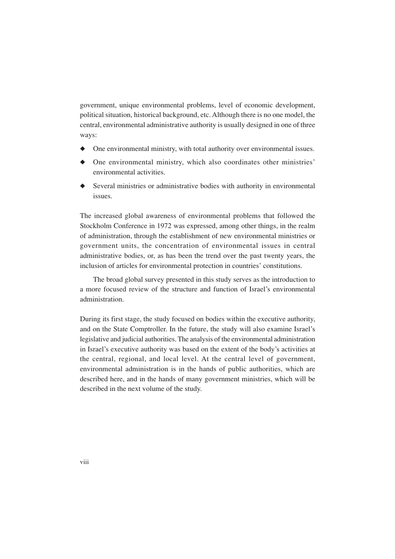government, unique environmental problems, level of economic development, political situation, historical background, etc. Although there is no one model, the central, environmental administrative authority is usually designed in one of three ways:

- ◆ One environmental ministry, with total authority over environmental issues.
- ◆ One environmental ministry, which also coordinates other ministries' environmental activities.
- Several ministries or administrative bodies with authority in environmental issues.

The increased global awareness of environmental problems that followed the Stockholm Conference in 1972 was expressed, among other things, in the realm of administration, through the establishment of new environmental ministries or government units, the concentration of environmental issues in central administrative bodies, or, as has been the trend over the past twenty years, the inclusion of articles for environmental protection in countries' constitutions.

The broad global survey presented in this study serves as the introduction to a more focused review of the structure and function of Israel's environmental administration.

During its first stage, the study focused on bodies within the executive authority, and on the State Comptroller. In the future, the study will also examine Israel's legislative and judicial authorities. The analysis of the environmental administration in Israel's executive authority was based on the extent of the body's activities at the central, regional, and local level. At the central level of government, environmental administration is in the hands of public authorities, which are described here, and in the hands of many government ministries, which will be described in the next volume of the study.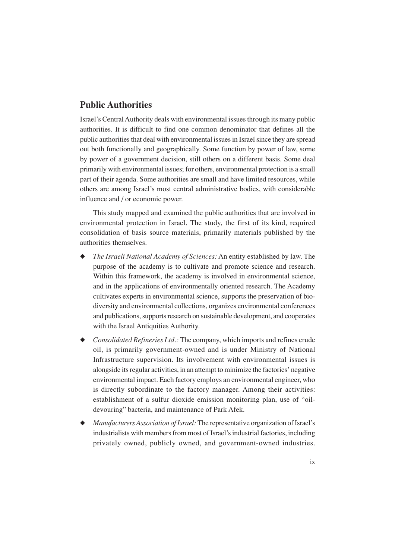#### **Public Authorities**

Israel's Central Authority deals with environmental issues through its many public authorities. It is difficult to find one common denominator that defines all the public authorities that deal with environmental issues in Israel since they are spread out both functionally and geographically. Some function by power of law, some by power of a government decision, still others on a different basis. Some deal primarily with environmental issues; for others, environmental protection is a small part of their agenda. Some authorities are small and have limited resources, while others are among Israel's most central administrative bodies, with considerable influence and / or economic power.

This study mapped and examined the public authorities that are involved in environmental protection in Israel. The study, the first of its kind, required consolidation of basis source materials, primarily materials published by the authorities themselves.

- ◆ *The Israeli National Academy of Sciences:* An entity established by law. The purpose of the academy is to cultivate and promote science and research. Within this framework, the academy is involved in environmental science, and in the applications of environmentally oriented research. The Academy cultivates experts in environmental science, supports the preservation of biodiversity and environmental collections, organizes environmental conferences and publications, supports research on sustainable development, and cooperates with the Israel Antiquities Authority.
- ◆ *Consolidated Refineries Ltd.:* The company, which imports and refines crude oil, is primarily government-owned and is under Ministry of National Infrastructure supervision. Its involvement with environmental issues is alongside its regular activities, in an attempt to minimize the factories' negative environmental impact. Each factory employs an environmental engineer, who is directly subordinate to the factory manager. Among their activities: establishment of a sulfur dioxide emission monitoring plan, use of "oildevouring" bacteria, and maintenance of Park Afek.
- ◆ *Manufacturers Association of Israel:* The representative organization of Israel's industrialists with members from most of Israel's industrial factories, including privately owned, publicly owned, and government-owned industries.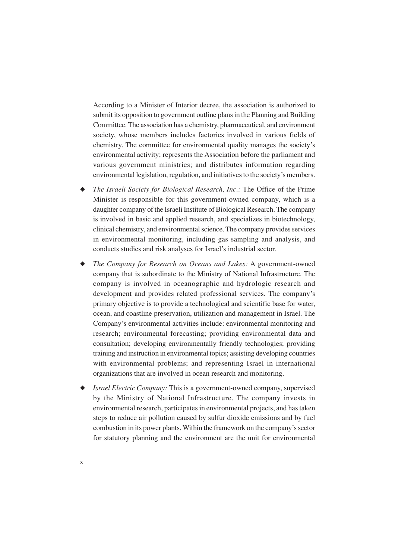According to a Minister of Interior decree, the association is authorized to submit its opposition to government outline plans in the Planning and Building Committee. The association has a chemistry, pharmaceutical, and environment society, whose members includes factories involved in various fields of chemistry. The committee for environmental quality manages the society's environmental activity; represents the Association before the parliament and various government ministries; and distributes information regarding environmental legislation, regulation, and initiatives to the society's members.

- ◆ *The Israeli Society for Biological Research, Inc.:* The Office of the Prime Minister is responsible for this government-owned company, which is a daughter company of the Israeli Institute of Biological Research. The company is involved in basic and applied research, and specializes in biotechnology, clinical chemistry, and environmental science. The company provides services in environmental monitoring, including gas sampling and analysis, and conducts studies and risk analyses for Israel's industrial sector.
- ◆ *The Company for Research on Oceans and Lakes:* A government-owned company that is subordinate to the Ministry of National Infrastructure. The company is involved in oceanographic and hydrologic research and development and provides related professional services. The company's primary objective is to provide a technological and scientific base for water, ocean, and coastline preservation, utilization and management in Israel. The Company's environmental activities include: environmental monitoring and research; environmental forecasting; providing environmental data and consultation; developing environmentally friendly technologies; providing training and instruction in environmental topics; assisting developing countries with environmental problems; and representing Israel in international organizations that are involved in ocean research and monitoring.
- ◆ *Israel Electric Company:* This is a government-owned company, supervised by the Ministry of National Infrastructure. The company invests in environmental research, participates in environmental projects, and has taken steps to reduce air pollution caused by sulfur dioxide emissions and by fuel combustion in its power plants. Within the framework on the company's sector for statutory planning and the environment are the unit for environmental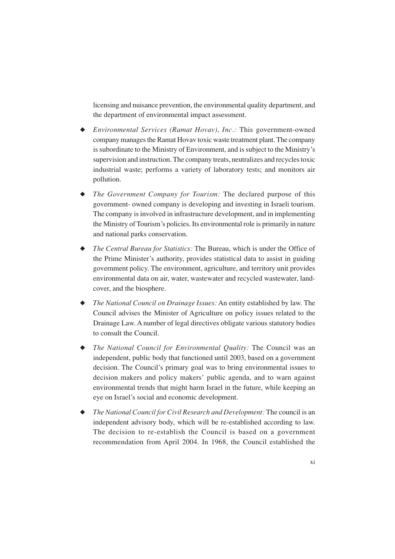licensing and nuisance prevention, the environmental quality department, and the department of environmental impact assessment.

- ◆ *Environmental Services (Ramat Hovav), Inc.:* This government-owned company manages the Ramat Hovav toxic waste treatment plant. The company is subordinate to the Ministry of Environment, and is subject to the Ministry's supervision and instruction. The company treats, neutralizes and recycles toxic industrial waste; performs a variety of laboratory tests; and monitors air pollution.
- ◆ *The Government Company for Tourism:* The declared purpose of this government- owned company is developing and investing in Israeli tourism. The company is involved in infrastructure development, and in implementing the Ministry of Tourism's policies. Its environmental role is primarily in nature and national parks conservation.
- ◆ *The Central Bureau for Statistics:* The Bureau, which is under the Office of the Prime Minister's authority, provides statistical data to assist in guiding government policy. The environment, agriculture, and territory unit provides environmental data on air, water, wastewater and recycled wastewater, landcover, and the biosphere.
- ◆ *The National Council on Drainage Issues:* An entity established by law. The Council advises the Minister of Agriculture on policy issues related to the Drainage Law. A number of legal directives obligate various statutory bodies to consult the Council.
- ◆ *The National Council for Environmental Quality:* The Council was an independent, public body that functioned until 2003, based on a government decision. The Council's primary goal was to bring environmental issues to decision makers and policy makers' public agenda, and to warn against environmental trends that might harm Israel in the future, while keeping an eye on Israel's social and economic development.
- ◆ *The National Council for Civil Research and Development:* The council is an independent advisory body, which will be re-established according to law. The decision to re-establish the Council is based on a government recommendation from April 2004. In 1968, the Council established the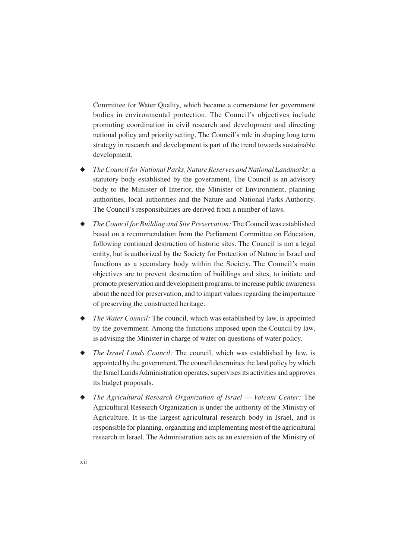Committee for Water Quality, which became a cornerstone for government bodies in environmental protection. The Council's objectives include promoting coordination in civil research and development and directing national policy and priority setting. The Council's role in shaping long term strategy in research and development is part of the trend towards sustainable development.

- ◆ *The Council for National Parks, Nature Reserves and National Landmarks:* a statutory body established by the government. The Council is an advisory body to the Minister of Interior, the Minister of Environment, planning authorities, local authorities and the Nature and National Parks Authority. The Council's responsibilities are derived from a number of laws.
- ◆ *The Council for Building and Site Preservation:* The Council was established based on a recommendation from the Parliament Committee on Education, following continued destruction of historic sites. The Council is not a legal entity, but is authorized by the Society for Protection of Nature in Israel and functions as a secondary body within the Society. The Council's main objectives are to prevent destruction of buildings and sites, to initiate and promote preservation and development programs, to increase public awareness about the need for preservation, and to impart values regarding the importance of preserving the constructed heritage.
- ◆ *The Water Council:* The council, which was established by law, is appointed by the government. Among the functions imposed upon the Council by law, is advising the Minister in charge of water on questions of water policy.
- ◆ *The Israel Lands Council:* The council, which was established by law, is appointed by the government. The council determines the land policy by which the Israel Lands Administration operates, supervises its activities and approves its budget proposals.
- ◆ *The Agricultural Research Organization of Israel Volcani Center:* The Agricultural Research Organization is under the authority of the Ministry of Agriculture. It is the largest agricultural research body in Israel, and is responsible for planning, organizing and implementing most of the agricultural research in Israel. The Administration acts as an extension of the Ministry of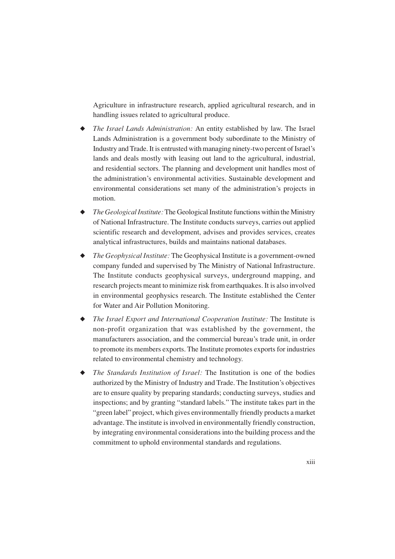Agriculture in infrastructure research, applied agricultural research, and in handling issues related to agricultural produce.

- ◆ *The Israel Lands Administration:* An entity established by law. The Israel Lands Administration is a government body subordinate to the Ministry of Industry and Trade. It is entrusted with managing ninety-two percent of Israel's lands and deals mostly with leasing out land to the agricultural, industrial, and residential sectors. The planning and development unit handles most of the administration's environmental activities. Sustainable development and environmental considerations set many of the administration's projects in motion.
- ◆ *The Geological Institute:* The Geological Institute functions within the Ministry of National Infrastructure. The Institute conducts surveys, carries out applied scientific research and development, advises and provides services, creates analytical infrastructures, builds and maintains national databases.
- ◆ *The Geophysical Institute:* The Geophysical Institute is a government-owned company funded and supervised by The Ministry of National Infrastructure. The Institute conducts geophysical surveys, underground mapping, and research projects meant to minimize risk from earthquakes. It is also involved in environmental geophysics research. The Institute established the Center for Water and Air Pollution Monitoring.
- ◆ *The Israel Export and International Cooperation Institute:* The Institute is non-profit organization that was established by the government, the manufacturers association, and the commercial bureau's trade unit, in order to promote its members exports. The Institute promotes exports for industries related to environmental chemistry and technology.
- ◆ *The Standards Institution of Israel:* The Institution is one of the bodies authorized by the Ministry of Industry and Trade. The Institution's objectives are to ensure quality by preparing standards; conducting surveys, studies and inspections; and by granting "standard labels." The institute takes part in the "green label" project, which gives environmentally friendly products a market advantage. The institute is involved in environmentally friendly construction, by integrating environmental considerations into the building process and the commitment to uphold environmental standards and regulations.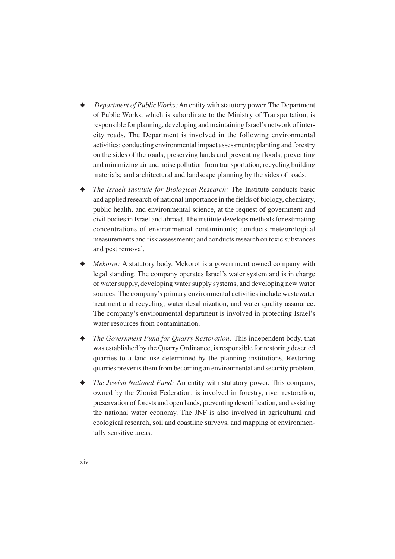- Department of Public Works: An entity with statutory power. The Department of Public Works, which is subordinate to the Ministry of Transportation, is responsible for planning, developing and maintaining Israel's network of intercity roads. The Department is involved in the following environmental activities: conducting environmental impact assessments; planting and forestry on the sides of the roads; preserving lands and preventing floods; preventing and minimizing air and noise pollution from transportation; recycling building materials; and architectural and landscape planning by the sides of roads.
- ◆ *The Israeli Institute for Biological Research:* The Institute conducts basic and applied research of national importance in the fields of biology, chemistry, public health, and environmental science, at the request of government and civil bodies in Israel and abroad. The institute develops methods for estimating concentrations of environmental contaminants; conducts meteorological measurements and risk assessments; and conducts research on toxic substances and pest removal.
- ◆ *Mekorot:* A statutory body. Mekorot is a government owned company with legal standing. The company operates Israel's water system and is in charge of water supply, developing water supply systems, and developing new water sources. The company's primary environmental activities include wastewater treatment and recycling, water desalinization, and water quality assurance. The company's environmental department is involved in protecting Israel's water resources from contamination.
- ◆ *The Government Fund for Quarry Restoration:* This independent body, that was established by the Quarry Ordinance, is responsible for restoring deserted quarries to a land use determined by the planning institutions. Restoring quarries prevents them from becoming an environmental and security problem.
- ◆ *The Jewish National Fund:* An entity with statutory power. This company, owned by the Zionist Federation, is involved in forestry, river restoration, preservation of forests and open lands, preventing desertification, and assisting the national water economy. The JNF is also involved in agricultural and ecological research, soil and coastline surveys, and mapping of environmentally sensitive areas.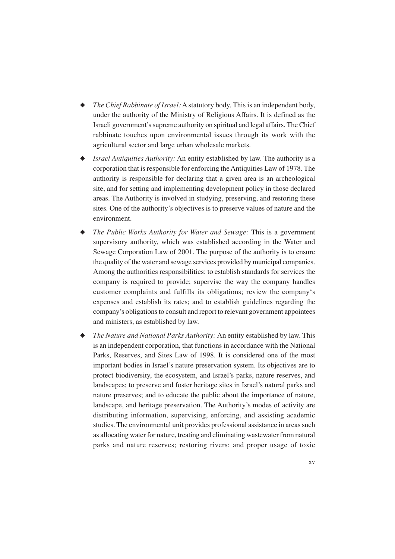- ◆ *The Chief Rabbinate of Israel:* A statutory body. This is an independent body, under the authority of the Ministry of Religious Affairs. It is defined as the Israeli government's supreme authority on spiritual and legal affairs. The Chief rabbinate touches upon environmental issues through its work with the agricultural sector and large urban wholesale markets.
- ◆ *Israel Antiquities Authority:* An entity established by law. The authority is a corporation that is responsible for enforcing the Antiquities Law of 1978. The authority is responsible for declaring that a given area is an archeological site, and for setting and implementing development policy in those declared areas. The Authority is involved in studying, preserving, and restoring these sites. One of the authority's objectives is to preserve values of nature and the environment.
- ◆ *The Public Works Authority for Water and Sewage:* This is a government supervisory authority, which was established according in the Water and Sewage Corporation Law of 2001. The purpose of the authority is to ensure the quality of the water and sewage services provided by municipal companies. Among the authorities responsibilities: to establish standards for services the company is required to provide; supervise the way the company handles customer complaints and fulfills its obligations; review the company's expenses and establish its rates; and to establish guidelines regarding the company's obligations to consult and report to relevant government appointees and ministers, as established by law.
- ◆ *The Nature and National Parks Authority:* An entity established by law. This is an independent corporation, that functions in accordance with the National Parks, Reserves, and Sites Law of 1998. It is considered one of the most important bodies in Israel's nature preservation system. Its objectives are to protect biodiversity, the ecosystem, and Israel's parks, nature reserves, and landscapes; to preserve and foster heritage sites in Israel's natural parks and nature preserves; and to educate the public about the importance of nature, landscape, and heritage preservation. The Authority's modes of activity are distributing information, supervising, enforcing, and assisting academic studies. The environmental unit provides professional assistance in areas such as allocating water for nature, treating and eliminating wastewater from natural parks and nature reserves; restoring rivers; and proper usage of toxic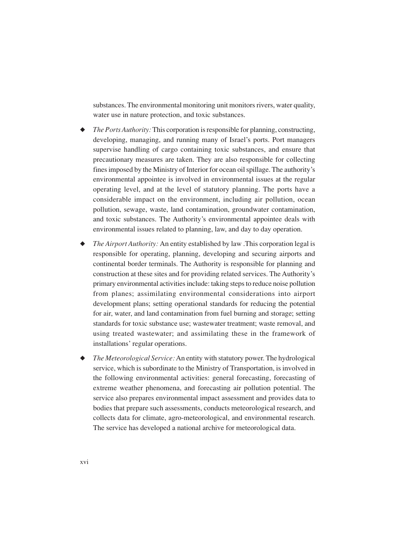substances. The environmental monitoring unit monitors rivers, water quality, water use in nature protection, and toxic substances.

- ◆ *The Ports Authority:* This corporation is responsible for planning, constructing, developing, managing, and running many of Israel's ports. Port managers supervise handling of cargo containing toxic substances, and ensure that precautionary measures are taken. They are also responsible for collecting fines imposed by the Ministry of Interior for ocean oil spillage. The authority's environmental appointee is involved in environmental issues at the regular operating level, and at the level of statutory planning. The ports have a considerable impact on the environment, including air pollution, ocean pollution, sewage, waste, land contamination, groundwater contamination, and toxic substances. The Authority's environmental appointee deals with environmental issues related to planning, law, and day to day operation.
- *The Airport Authority:* An entity established by law .This corporation legal is responsible for operating, planning, developing and securing airports and continental border terminals. The Authority is responsible for planning and construction at these sites and for providing related services. The Authority's primary environmental activities include: taking steps to reduce noise pollution from planes; assimilating environmental considerations into airport development plans; setting operational standards for reducing the potential for air, water, and land contamination from fuel burning and storage; setting standards for toxic substance use; wastewater treatment; waste removal, and using treated wastewater; and assimilating these in the framework of installations' regular operations.
- ◆ *The Meteorological Service:* An entity with statutory power. The hydrological service, which is subordinate to the Ministry of Transportation, is involved in the following environmental activities: general forecasting, forecasting of extreme weather phenomena, and forecasting air pollution potential. The service also prepares environmental impact assessment and provides data to bodies that prepare such assessments, conducts meteorological research, and collects data for climate, agro-meteorological, and environmental research. The service has developed a national archive for meteorological data.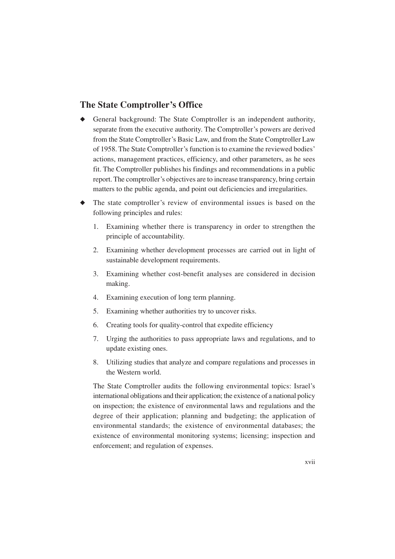#### **The State Comptroller's Office**

- ◆ General background: The State Comptroller is an independent authority, separate from the executive authority. The Comptroller's powers are derived from the State Comptroller's Basic Law, and from the State Comptroller Law of 1958. The State Comptroller's function is to examine the reviewed bodies' actions, management practices, efficiency, and other parameters, as he sees fit. The Comptroller publishes his findings and recommendations in a public report. The comptroller's objectives are to increase transparency, bring certain matters to the public agenda, and point out deficiencies and irregularities.
- ◆ The state comptroller's review of environmental issues is based on the following principles and rules:
	- 1. Examining whether there is transparency in order to strengthen the principle of accountability.
	- 2. Examining whether development processes are carried out in light of sustainable development requirements.
	- 3. Examining whether cost-benefit analyses are considered in decision making.
	- 4. Examining execution of long term planning.
	- 5. Examining whether authorities try to uncover risks.
	- 6. Creating tools for quality-control that expedite efficiency
	- 7. Urging the authorities to pass appropriate laws and regulations, and to update existing ones.
	- 8. Utilizing studies that analyze and compare regulations and processes in the Western world.

The State Comptroller audits the following environmental topics: Israel's international obligations and their application; the existence of a national policy on inspection; the existence of environmental laws and regulations and the degree of their application; planning and budgeting; the application of environmental standards; the existence of environmental databases; the existence of environmental monitoring systems; licensing; inspection and enforcement; and regulation of expenses.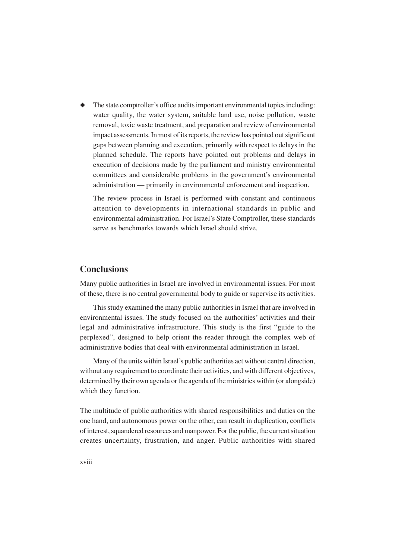◆ The state comptroller's office audits important environmental topics including: water quality, the water system, suitable land use, noise pollution, waste removal, toxic waste treatment, and preparation and review of environmental impact assessments. In most of its reports, the review has pointed out significant gaps between planning and execution, primarily with respect to delays in the planned schedule. The reports have pointed out problems and delays in execution of decisions made by the parliament and ministry environmental committees and considerable problems in the government's environmental administration — primarily in environmental enforcement and inspection.

The review process in Israel is performed with constant and continuous attention to developments in international standards in public and environmental administration. For Israel's State Comptroller, these standards serve as benchmarks towards which Israel should strive.

#### **Conclusions**

Many public authorities in Israel are involved in environmental issues. For most of these, there is no central governmental body to guide or supervise its activities.

This study examined the many public authorities in Israel that are involved in environmental issues. The study focused on the authorities' activities and their legal and administrative infrastructure. This study is the first "guide to the perplexed", designed to help orient the reader through the complex web of administrative bodies that deal with environmental administration in Israel.

Many of the units within Israel's public authorities act without central direction, without any requirement to coordinate their activities, and with different objectives, determined by their own agenda or the agenda of the ministries within (or alongside) which they function.

The multitude of public authorities with shared responsibilities and duties on the one hand, and autonomous power on the other, can result in duplication, conflicts of interest, squandered resources and manpower. For the public, the current situation creates uncertainty, frustration, and anger. Public authorities with shared